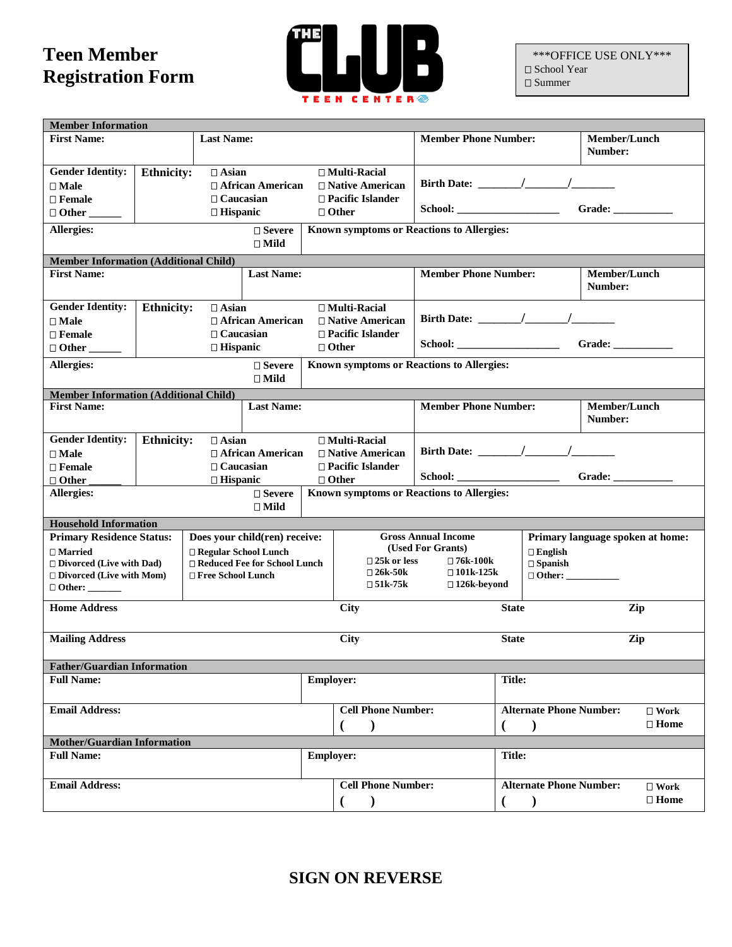## **Teen Member Registration Form**



\*\*\*OFFICE USE ONLY\*\*\* □ School Year  $\square$  Summer

| <b>Member Information</b>                                         |                                   |                     |                               |                                          |                                                                                          |                                         |                   |                                                  |                     |                                  |  |
|-------------------------------------------------------------------|-----------------------------------|---------------------|-------------------------------|------------------------------------------|------------------------------------------------------------------------------------------|-----------------------------------------|-------------------|--------------------------------------------------|---------------------|----------------------------------|--|
| <b>Last Name:</b><br><b>First Name:</b>                           |                                   |                     |                               |                                          |                                                                                          | <b>Member Phone Number:</b>             |                   |                                                  | <b>Member/Lunch</b> |                                  |  |
|                                                                   |                                   |                     |                               |                                          |                                                                                          |                                         |                   |                                                  | Number:             |                                  |  |
| <b>Gender Identity:</b>                                           | <b>Ethnicity:</b><br>$\Box$ Asian |                     |                               |                                          | $\Box$ Multi-Racial                                                                      |                                         |                   |                                                  |                     |                                  |  |
| $\Box$ Male                                                       | $\Box$ African American           |                     |                               | $\Box$ Native American                   | Birth Date: $\frac{1}{\sqrt{1-\frac{1}{2}}}\left  \frac{1}{\sqrt{1-\frac{1}{2}}}\right $ |                                         |                   |                                                  |                     |                                  |  |
| $\square$ Female                                                  | $\Box$ Caucasian                  |                     |                               | $\Box$ Pacific Islander                  |                                                                                          |                                         |                   |                                                  |                     |                                  |  |
|                                                                   | $\Box$<br><br>Hispanic            |                     |                               |                                          | $\Box$ Other                                                                             | Grade: $\qquad \qquad$                  |                   |                                                  |                     |                                  |  |
| <b>Allergies:</b><br>$\square$ Severe                             |                                   |                     |                               |                                          | Known symptoms or Reactions to Allergies:                                                |                                         |                   |                                                  |                     |                                  |  |
|                                                                   |                                   |                     | $\square$ Mild                |                                          |                                                                                          |                                         |                   |                                                  |                     |                                  |  |
| <b>Member Information (Additional Child)</b>                      |                                   |                     |                               |                                          |                                                                                          |                                         |                   |                                                  |                     |                                  |  |
| <b>First Name:</b>                                                |                                   |                     | <b>Last Name:</b>             |                                          |                                                                                          | <b>Member Phone Number:</b>             |                   |                                                  | Member/Lunch        |                                  |  |
|                                                                   |                                   |                     |                               |                                          |                                                                                          |                                         |                   |                                                  | Number:             |                                  |  |
| <b>Gender Identity:</b>                                           | <b>Ethnicity:</b>                 | $\Box$ Asian        |                               |                                          | □ Multi-Racial                                                                           |                                         |                   |                                                  |                     |                                  |  |
| $\square$ Male                                                    |                                   |                     | $\Box$ African American       |                                          | $\Box$ Native American                                                                   |                                         |                   |                                                  |                     |                                  |  |
| $\Box$ Female                                                     |                                   | $\Box$ Caucasian    |                               |                                          | □ Pacific Islander                                                                       |                                         |                   |                                                  |                     |                                  |  |
|                                                                   | $\Box$ Hispanic                   |                     |                               |                                          | $\Box$ Other                                                                             |                                         |                   |                                                  | Grade:              |                                  |  |
| <b>Allergies:</b>                                                 |                                   |                     | $\Box$ Severe                 |                                          | Known symptoms or Reactions to Allergies:                                                |                                         |                   |                                                  |                     |                                  |  |
|                                                                   |                                   |                     | $\square$ Mild                |                                          |                                                                                          |                                         |                   |                                                  |                     |                                  |  |
| <b>Member Information (Additional Child)</b>                      |                                   |                     |                               |                                          |                                                                                          |                                         |                   |                                                  |                     |                                  |  |
| <b>First Name:</b>                                                |                                   |                     | <b>Last Name:</b>             |                                          |                                                                                          | <b>Member Phone Number:</b>             |                   |                                                  | <b>Member/Lunch</b> |                                  |  |
|                                                                   |                                   |                     |                               |                                          |                                                                                          |                                         |                   |                                                  | Number:             |                                  |  |
| <b>Gender Identity:</b>                                           | <b>Ethnicity:</b>                 | $\Box$ Asian        |                               |                                          | $\Box$ Multi-Racial                                                                      |                                         |                   |                                                  |                     |                                  |  |
| $\square$ Male                                                    |                                   |                     | $\Box$ African American       |                                          | $\Box$ Native American                                                                   |                                         |                   |                                                  |                     |                                  |  |
| $\Box$ Female                                                     |                                   | $\Box$ Caucasian    |                               |                                          | $\Box$ Pacific Islander                                                                  |                                         |                   |                                                  |                     |                                  |  |
| □ Other                                                           |                                   | $\Box$ Hispanic     |                               |                                          | $\Box$ Other                                                                             |                                         |                   |                                                  | Grade: _________    |                                  |  |
| <b>Allergies:</b>                                                 |                                   |                     | $\square$ Severe              |                                          | Known symptoms or Reactions to Allergies:                                                |                                         |                   |                                                  |                     |                                  |  |
|                                                                   |                                   |                     | $\Box$ Mild                   |                                          |                                                                                          |                                         |                   |                                                  |                     |                                  |  |
| <b>Household Information</b>                                      |                                   |                     |                               |                                          |                                                                                          |                                         |                   |                                                  |                     |                                  |  |
| <b>Primary Residence Status:</b>                                  |                                   |                     | Does your child(ren) receive: |                                          |                                                                                          | <b>Gross Annual Income</b>              |                   |                                                  |                     | Primary language spoken at home: |  |
| $\Box$ Married                                                    |                                   |                     | □ Regular School Lunch        |                                          | $\Box$ 25k or less                                                                       | (Used For Grants)<br>$\square$ 76k-100k |                   | $\Box$ English                                   |                     |                                  |  |
| $\Box$ Divorced (Live with Dad)<br>□ Reduced Fee for School Lunch |                                   |                     |                               | $\square$ 26k-50k<br>$\square$ 101k-125k |                                                                                          |                                         | $\square$ Spanish |                                                  |                     |                                  |  |
| $\Box$ Divorced (Live with Mom)                                   |                                   | □ Free School Lunch |                               |                                          | $\square$ 51k-75k                                                                        | $\square$ 126k-beyond                   |                   |                                                  |                     |                                  |  |
|                                                                   |                                   |                     |                               |                                          |                                                                                          |                                         |                   |                                                  |                     |                                  |  |
| <b>Home Address</b>                                               |                                   |                     |                               |                                          | City                                                                                     |                                         | <b>State</b>      |                                                  |                     | Zip                              |  |
|                                                                   |                                   |                     |                               |                                          |                                                                                          |                                         |                   |                                                  |                     |                                  |  |
| <b>Mailing Address</b>                                            |                                   |                     |                               |                                          | <b>City</b>                                                                              |                                         | <b>State</b>      |                                                  |                     | Zip                              |  |
| <b>Father/Guardian Information</b>                                |                                   |                     |                               |                                          |                                                                                          |                                         |                   |                                                  |                     |                                  |  |
| <b>Full Name:</b>                                                 |                                   |                     |                               | Employer:                                |                                                                                          |                                         | <b>Title:</b>     |                                                  |                     |                                  |  |
|                                                                   |                                   |                     |                               |                                          |                                                                                          |                                         |                   |                                                  |                     |                                  |  |
| <b>Email Address:</b>                                             |                                   |                     |                               |                                          | <b>Cell Phone Number:</b>                                                                |                                         |                   | <b>Alternate Phone Number:</b>                   |                     | $\Box$ Work                      |  |
|                                                                   |                                   |                     |                               |                                          |                                                                                          |                                         |                   | $\lambda$                                        |                     | $\square$ Home                   |  |
| <b>Mother/Guardian Information</b>                                |                                   |                     |                               |                                          |                                                                                          |                                         |                   |                                                  |                     |                                  |  |
| <b>Full Name:</b>                                                 |                                   |                     |                               | <b>Employer:</b>                         |                                                                                          |                                         | <b>Title:</b>     |                                                  |                     |                                  |  |
|                                                                   |                                   |                     |                               |                                          |                                                                                          |                                         |                   |                                                  |                     |                                  |  |
| <b>Email Address:</b>                                             |                                   |                     |                               |                                          | <b>Cell Phone Number:</b>                                                                |                                         |                   | <b>Alternate Phone Number:</b><br>$\square$ Work |                     |                                  |  |
|                                                                   |                                   |                     |                               |                                          |                                                                                          |                                         |                   |                                                  |                     | $\square$ Home                   |  |
|                                                                   |                                   |                     |                               |                                          |                                                                                          |                                         |                   |                                                  |                     |                                  |  |